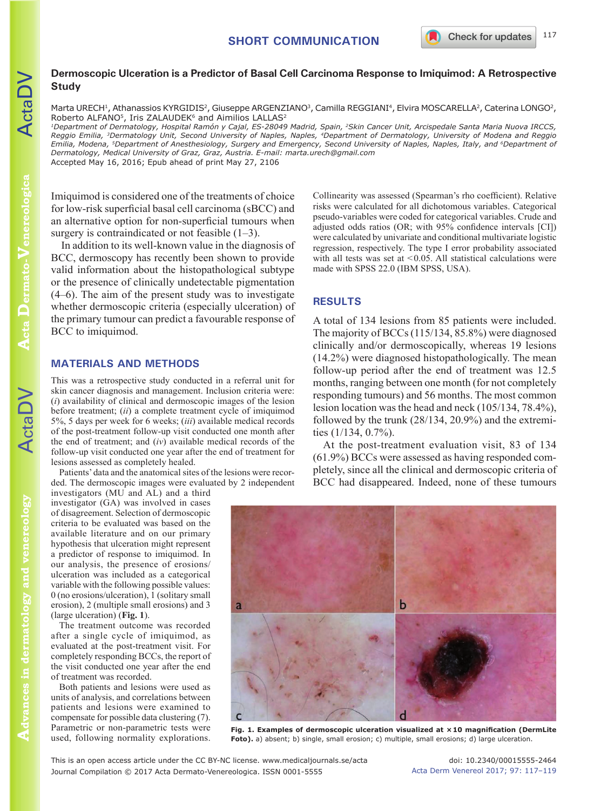## **Dermoscopic Ulceration is a Predictor of Basal Cell Carcinoma Response to Imiquimod: A Retrospective Study**

Marta URECH<sup>1</sup>, Athanassios KYRGIDIS<sup>2</sup>, Giuseppe ARGENZIANO<sup>3</sup>, Camilla REGGIANI<sup>4</sup>, Elvira MOSCARELLA<sup>2</sup>, Caterina LONGO<sup>2</sup>, Roberto ALFANO<sup>5</sup>, Iris ZALAUDEK<sup>6</sup> and Aimilios LALLAS<sup>2</sup>

*1Department of Dermatology, Hospital Ramón y Cajal, ES-28049 Madrid, Spain, 2Skin Cancer Unit, Arcispedale Santa Maria Nuova IRCCS, Reggio Emilia, 3Dermatology Unit, Second University of Naples, Naples, 4Department of Dermatology, University of Modena and Reggio Emilia, Modena, 5Department of Anesthesiology, Surgery and Emergency, Second University of Naples, Naples, Italy, and 6Department of Dermatology, Medical University of Graz, Graz, Austria. E-mail: marta.urech@gmail.com* Accepted May 16, 2016; Epub ahead of print May 27, 2106

Imiquimod is considered one of the treatments of choice for low-risk superficial basal cell carcinoma (sBCC) and an alternative option for non-superficial tumours when surgery is contraindicated or not feasible  $(1-3)$ .

In addition to its well-known value in the diagnosis of BCC, dermoscopy has recently been shown to provide valid information about the histopathological subtype or the presence of clinically undetectable pigmentation (4–6). The aim of the present study was to investigate whether dermoscopic criteria (especially ulceration) of the primary tumour can predict a favourable response of BCC to imiquimod.

### **MATERIALS AND METHODS**

This was a retrospective study conducted in a referral unit for skin cancer diagnosis and management. Inclusion criteria were: (*i*) availability of clinical and dermoscopic images of the lesion before treatment; (*ii*) a complete treatment cycle of imiquimod 5%, 5 days per week for 6 weeks; (*iii*) available medical records of the post-treatment follow-up visit conducted one month after the end of treatment; and (*iv*) available medical records of the follow-up visit conducted one year after the end of treatment for lesions assessed as completely healed.

Patients' data and the anatomical sites of the lesions were recorded. The dermoscopic images were evaluated by 2 independent

investigators (MU and AL) and a third investigator (GA) was involved in cases of disagreement. Selection of dermoscopic criteria to be evaluated was based on the available literature and on our primary hypothesis that ulceration might represent a predictor of response to imiquimod. In our analysis, the presence of erosions/ ulceration was included as a categorical variable with the following possible values: 0 (no erosions/ulceration), 1 (solitary small erosion), 2 (multiple small erosions) and 3 (large ulceration) (**Fig. 1**).

The treatment outcome was recorded after a single cycle of imiquimod, as evaluated at the post-treatment visit. For completely responding BCCs, the report of the visit conducted one year after the end of treatment was recorded.

Both patients and lesions were used as units of analysis, and correlations between patients and lesions were examined to compensate for possible data clustering (7). Parametric or non-parametric tests were used, following normality explorations.

Collinearity was assessed (Spearman's rho coefficient). Relative risks were calculated for all dichotomous variables. Categorical pseudo-variables were coded for categorical variables. Crude and adjusted odds ratios (OR; with 95% confidence intervals [CI]) were calculated by univariate and conditional multivariate logistic regression, respectively. The type I error probability associated with all tests was set at  $<0.05$ . All statistical calculations were made with SPSS 22.0 (IBM SPSS, USA).

# **RESULTS**

A total of 134 lesions from 85 patients were included. The majority of BCCs (115/134, 85.8%) were diagnosed clinically and/or dermoscopically, whereas 19 lesions (14.2%) were diagnosed histopathologically. The mean follow-up period after the end of treatment was 12.5 months, ranging between one month (for not completely responding tumours) and 56 months. The most common lesion location was the head and neck (105/134, 78.4%), followed by the trunk (28/134, 20.9%) and the extremities (1/134, 0.7%).

At the post-treatment evaluation visit, 83 of 134 (61.9%) BCCs were assessed as having responded completely, since all the clinical and dermoscopic criteria of BCC had disappeared. Indeed, none of these tumours



**Fig. 1. Examples of dermoscopic ulceration visualized at ×10 magnification (DermLite Foto).** a) absent; b) single, small erosion; c) multiple, small erosions; d) large ulceration.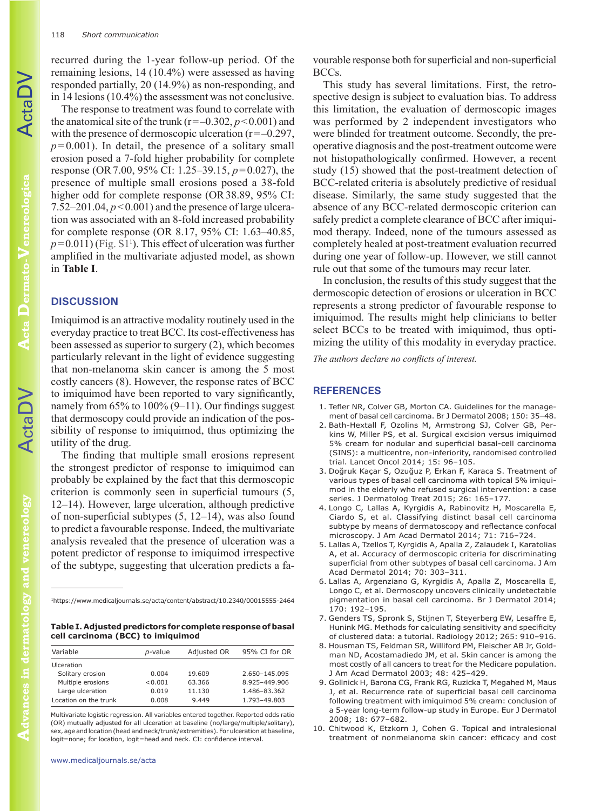recurred during the 1-year follow-up period. Of the remaining lesions, 14 (10.4%) were assessed as having responded partially, 20 (14.9%) as non-responding, and in 14 lesions (10.4%) the assessment was not conclusive.

The response to treatment was found to correlate with the anatomical site of the trunk ( $r=-0.302, p<0.001$ ) and with the presence of dermoscopic ulceration  $(r=-0.297)$ ,  $p=0.001$ ). In detail, the presence of a solitary small erosion posed a 7-fold higher probability for complete response (OR7.00, 95% CI: 1.25–39.15, *p*=0.027), the presence of multiple small erosions posed a 38-fold higher odd for complete response (OR38.89, 95% CI: 7.52–201.04,  $p < 0.001$ ) and the presence of large ulceration was associated with an 8-fold increased probability for complete response (OR 8.17, 95% CI: 1.63–40.85,  $p=0.011$ ) (Fig. S1<sup>1</sup>). This effect of ulceration was further amplified in the multivariate adjusted model, as shown in **Table I**.

#### **DISCUSSION**

Imiquimod is an attractive modality routinely used in the everyday practice to treat BCC. Its cost-effectiveness has been assessed as superior to surgery (2), which becomes particularly relevant in the light of evidence suggesting that non-melanoma skin cancer is among the 5 most costly cancers (8). However, the response rates of BCC to imiquimod have been reported to vary significantly, namely from 65% to 100% (9–11). Our findings suggest that dermoscopy could provide an indication of the possibility of response to imiquimod, thus optimizing the utility of the drug.

The finding that multiple small erosions represent the strongest predictor of response to imiquimod can probably be explained by the fact that this dermoscopic criterion is commonly seen in superficial tumours (5, 12–14). However, large ulceration, although predictive of non-superficial subtypes (5, 12–14), was also found to predict a favourable response. Indeed, the multivariate analysis revealed that the presence of ulceration was a potent predictor of response to imiquimod irrespective of the subtype, suggesting that ulceration predicts a fa-

<sup>1</sup>https://www.medicaljournals.se/acta/content/abstract/10.2340/00015555-2464

**Table I. Adjusted predictors for complete response of basal cell carcinoma (BCC) to imiquimod**

| Variable              | <i>p</i> -value | Adjusted OR | 95% CI for OR |
|-----------------------|-----------------|-------------|---------------|
| <b>Ulceration</b>     |                 |             |               |
| Solitary erosion      | 0.004           | 19.609      | 2.650-145.095 |
| Multiple erosions     | < 0.001         | 63.366      | 8.925-449.906 |
| Large ulceration      | 0.019           | 11.130      | 1.486-83.362  |
| Location on the trunk | 0.008           | 9.449       | 1.793-49.803  |

Multivariate logistic regression. All variables entered together. Reported odds ratio (OR) mutually adjusted for all ulceration at baseline (no/large/multiple/solitary), sex, age and location (head and neck/trunk/extremities). For ulceration at baseline, logit=none; for location, logit=head and neck. CI: confidence interval.

vourable response both for superficial and non-superficial BCCs.

This study has several limitations. First, the retrospective design is subject to evaluation bias. To address this limitation, the evaluation of dermoscopic images was performed by 2 independent investigators who were blinded for treatment outcome. Secondly, the preoperative diagnosis and the post-treatment outcome were not histopathologically confirmed. However, a recent study (15) showed that the post-treatment detection of BCC-related criteria is absolutely predictive of residual disease. Similarly, the same study suggested that the absence of any BCC-related dermoscopic criterion can safely predict a complete clearance of BCC after imiquimod therapy. Indeed, none of the tumours assessed as completely healed at post-treatment evaluation recurred during one year of follow-up. However, we still cannot rule out that some of the tumours may recur later.

In conclusion, the results of this study suggest that the dermoscopic detection of erosions or ulceration in BCC represents a strong predictor of favourable response to imiquimod. The results might help clinicians to better select BCCs to be treated with imiquimod, thus optimizing the utility of this modality in everyday practice.

*The authors declare no conflicts of interest.*

#### **REFERENCES**

- 1. Tefler NR, Colver GB, Morton CA. Guidelines for the management of basal cell carcinoma. Br J Dermatol 2008; 150: 35–48.
- 2. Bath-Hextall F, Ozolins M, Armstrong SJ, Colver GB, Perkins W, Miller PS, et al. Surgical excision versus imiquimod 5% cream for nodular and superficial basal-cell carcinoma (SINS): a multicentre, non-inferiority, randomised controlled trial. Lancet Oncol 2014; 15: 96–105.
- 3. Doğruk Kaçar S, Ozuğuz P, Erkan F, Karaca S. Treatment of various types of basal cell carcinoma with topical 5% imiquimod in the elderly who refused surgical intervention: a case series. J Dermatolog Treat 2015; 26: 165–177.
- 4. Longo C, Lallas A, Kyrgidis A, Rabinovitz H, Moscarella E, Ciardo S, et al. Classifying distinct basal cell carcinoma subtype by means of dermatoscopy and reflectance confocal microscopy. J Am Acad Dermatol 2014; 71: 716–724.
- 5. Lallas A, Tzellos T, Kyrgidis A, Apalla Z, Zalaudek I, Karatolias A, et al. Accuracy of dermoscopic criteria for discriminating superficial from other subtypes of basal cell carcinoma. J Am Acad Dermatol 2014; 70: 303–311.
- 6. Lallas A, Argenziano G, Kyrgidis A, Apalla Z, Moscarella E, Longo C, et al. Dermoscopy uncovers clinically undetectable pigmentation in basal cell carcinoma. Br J Dermatol 2014; 170: 192–195.
- 7. Genders TS, Spronk S, Stijnen T, Steyerberg EW, Lesaffre E, Hunink MG. Methods for calculating sensitivity and specificity of clustered data: a tutorial. Radiology 2012; 265: 910–916.
- 8. Housman TS, Feldman SR, Williford PM, Fleischer AB Jr, Goldman ND, Acostamadiedo JM, et al. Skin cancer is among the most costly of all cancers to treat for the Medicare population. J Am Acad Dermatol 2003; 48: 425–429.
- 9. Gollnick H, Barona CG, Frank RG, Ruzicka T, Megahed M, Maus J, et al. Recurrence rate of superficial basal cell carcinoma following treatment with imiquimod 5% cream: conclusion of a 5-year long-term follow-up study in Europe. Eur J Dermatol 2008; 18: 677–682.
- 10. Chitwood K, Etzkorn J, Cohen G. Topical and intralesional treatment of nonmelanoma skin cancer: efficacy and cost